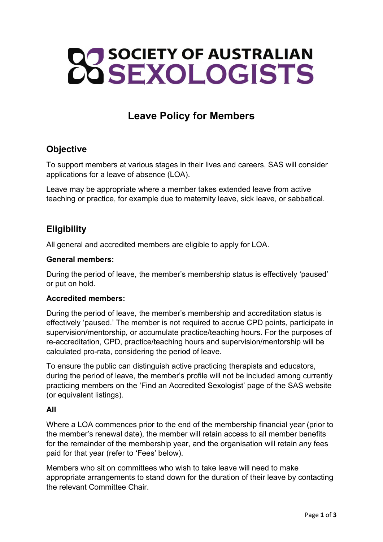# **22 SOCIETY OF AUSTRALIAN**

# Leave Policy for Members

# **Objective**

To support members at various stages in their lives and careers, SAS will consider applications for a leave of absence (LOA).

Leave may be appropriate where a member takes extended leave from active teaching or practice, for example due to maternity leave, sick leave, or sabbatical.

# **Eligibility**

All general and accredited members are eligible to apply for LOA.

### General members:

During the period of leave, the member's membership status is effectively 'paused' or put on hold.

### Accredited members:

During the period of leave, the member's membership and accreditation status is effectively 'paused.' The member is not required to accrue CPD points, participate in supervision/mentorship, or accumulate practice/teaching hours. For the purposes of re-accreditation, CPD, practice/teaching hours and supervision/mentorship will be calculated pro-rata, considering the period of leave.

To ensure the public can distinguish active practicing therapists and educators, during the period of leave, the member's profile will not be included among currently practicing members on the 'Find an Accredited Sexologist' page of the SAS website (or equivalent listings).

### All

Where a LOA commences prior to the end of the membership financial year (prior to the member's renewal date), the member will retain access to all member benefits for the remainder of the membership year, and the organisation will retain any fees paid for that year (refer to 'Fees' below).

Members who sit on committees who wish to take leave will need to make appropriate arrangements to stand down for the duration of their leave by contacting the relevant Committee Chair.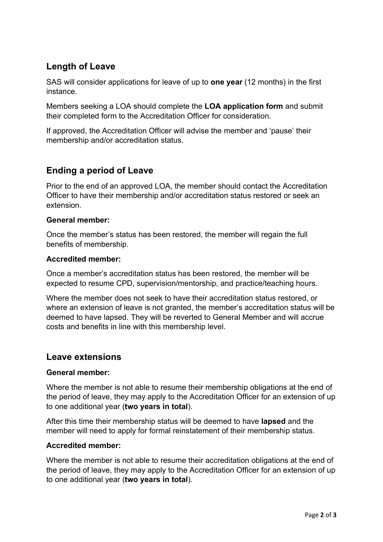# Length of Leave

SAS will consider applications for leave of up to one year (12 months) in the first instance.

Members seeking a LOA should complete the LOA application form and submit their completed form to the Accreditation Officer for consideration.

If approved, the Accreditation Officer will advise the member and 'pause' their membership and/or accreditation status.

# Ending a period of Leave

Prior to the end of an approved LOA, the member should contact the Accreditation Officer to have their membership and/or accreditation status restored or seek an extension.

### General member:

Once the member's status has been restored, the member will regain the full benefits of membership.

### Accredited member:

Once a member's accreditation status has been restored, the member will be expected to resume CPD, supervision/mentorship, and practice/teaching hours.

Where the member does not seek to have their accreditation status restored, or where an extension of leave is not granted, the member's accreditation status will be deemed to have lapsed. They will be reverted to General Member and will accrue costs and benefits in line with this membership level.

# Leave extensions

### General member:

Where the member is not able to resume their membership obligations at the end of the period of leave, they may apply to the Accreditation Officer for an extension of up to one additional year (two years in total).

After this time their membership status will be deemed to have lapsed and the member will need to apply for formal reinstatement of their membership status.

### Accredited member:

Where the member is not able to resume their accreditation obligations at the end of the period of leave, they may apply to the Accreditation Officer for an extension of up to one additional year (two years in total).